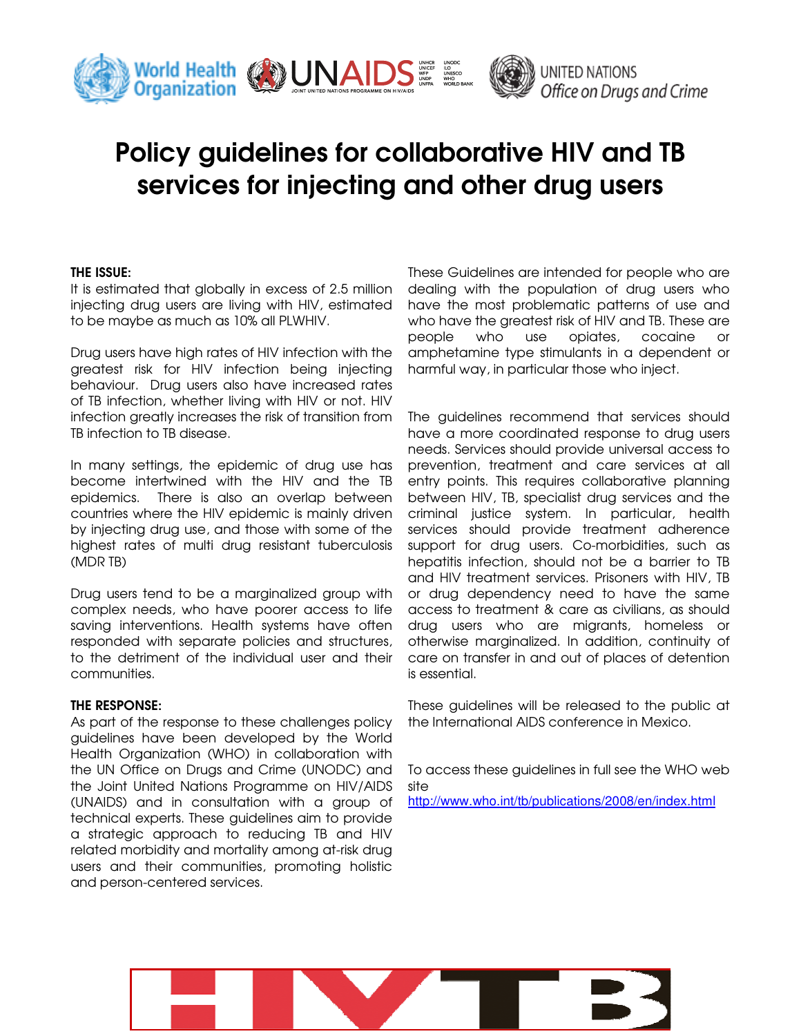

# Office on Drugs and Crime

# Policy guidelines for collaborative HIV and TB services for injecting and other drug users

# THE ISSUE:

It is estimated that globally in excess of 2.5 million injecting drug users are living with HIV, estimated to be maybe as much as 10% all PLWHIV.

Drug users have high rates of HIV infection with the greatest risk for HIV infection being injecting behaviour. Drug users also have increased rates of TB infection, whether living with HIV or not. HIV infection greatly increases the risk of transition from TB infection to TB disease.

In many settings, the epidemic of drug use has become intertwined with the HIV and the TB epidemics. There is also an overlap between countries where the HIV epidemic is mainly driven by injecting drug use, and those with some of the highest rates of multi drug resistant tuberculosis (MDR TB)

Drug users tend to be a marginalized group with complex needs, who have poorer access to life saving interventions. Health systems have often responded with separate policies and structures, to the detriment of the individual user and their communities.

# THE RESPONSE:

As part of the response to these challenges policy guidelines have been developed by the World Health Organization (WHO) in collaboration with the UN Office on Drugs and Crime (UNODC) and the Joint United Nations Programme on HIV/AIDS (UNAIDS) and in consultation with a group of technical experts. These guidelines aim to provide a strategic approach to reducing TB and HIV related morbidity and mortality among at-risk drug users and their communities, promoting holistic and person-centered services.

These Guidelines are intended for people who are dealing with the population of drug users who have the most problematic patterns of use and who have the greatest risk of HIV and TB. These are people who use opiates, cocaine or amphetamine type stimulants in a dependent or harmful way, in particular those who inject.

The guidelines recommend that services should have a more coordinated response to drug users needs. Services should provide universal access to prevention, treatment and care services at all entry points. This requires collaborative planning between HIV, TB, specialist drug services and the criminal justice system. In particular, health services should provide treatment adherence support for drug users. Co-morbidities, such as hepatitis infection, should not be a barrier to TB and HIV treatment services. Prisoners with HIV, TB or drug dependency need to have the same access to treatment & care as civilians, as should drug users who are migrants, homeless or otherwise marginalized. In addition, continuity of care on transfer in and out of places of detention is essential.

These guidelines will be released to the public at the International AIDS conference in Mexico.

To access these guidelines in full see the WHO web site http://www.who.int/tb/publications/2008/en/index.html